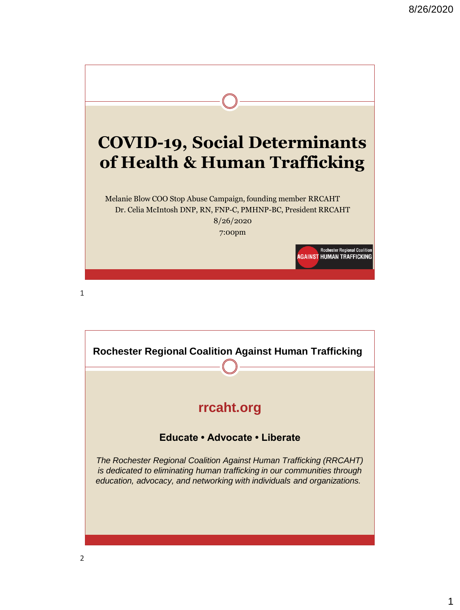

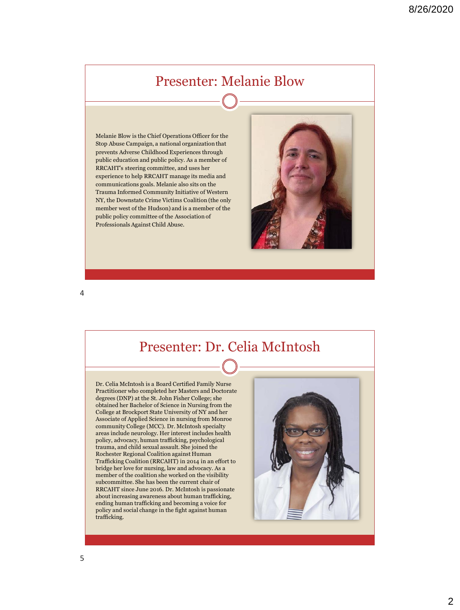## Presenter: Melanie Blow

Melanie Blow is the Chief Operations Officer for the Stop Abuse Campaign, a national organization that prevents Adverse Childhood Experiences through public education and public policy. As a member of RRCAHT's steering committee, and uses her experience to help RRCAHT manage its media and communications goals. Melanie also sits on the Trauma Informed Community Initiative of Western NY, the Downstate Crime Victims Coalition (the only member west of the Hudson) and is a member of the public policy committee of the Association of Professionals Against Child Abuse.



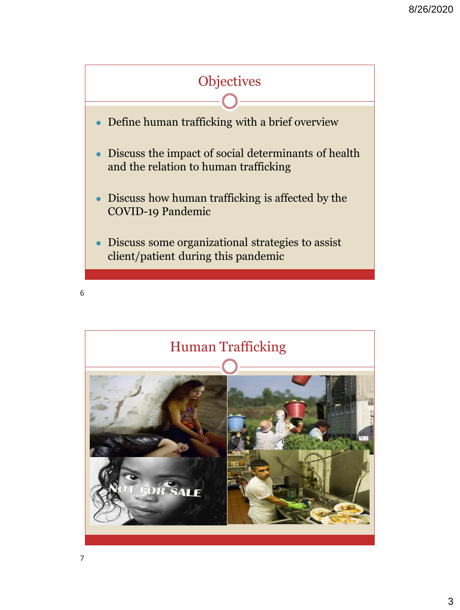

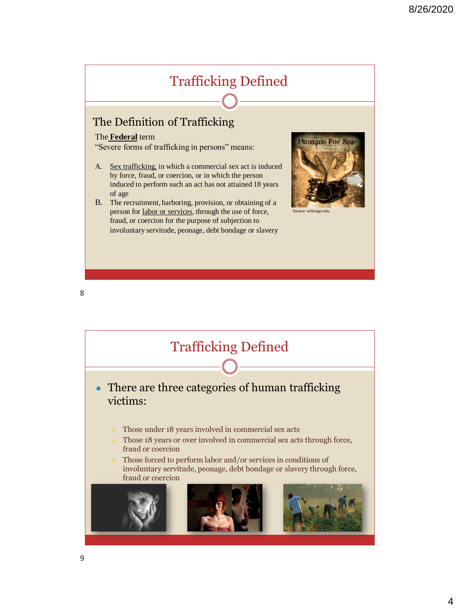## Trafficking Defined The Definition of Trafficking The **Federal** term Human's For S "Severe forms of trafficking in persons" means: A. Sex trafficking, in which a commercial sex act is induced by force, fraud, or coercion, or in which the person induced to perform such an act has not attained 18 years of age B. The recruitment, harboring, provision, or obtaining of a person for labor or services, through the use of force, Source: uchicago.edu fraud, or coercion for the purpose of subjection to involuntary servitude, peonage, debt bondage or slavery

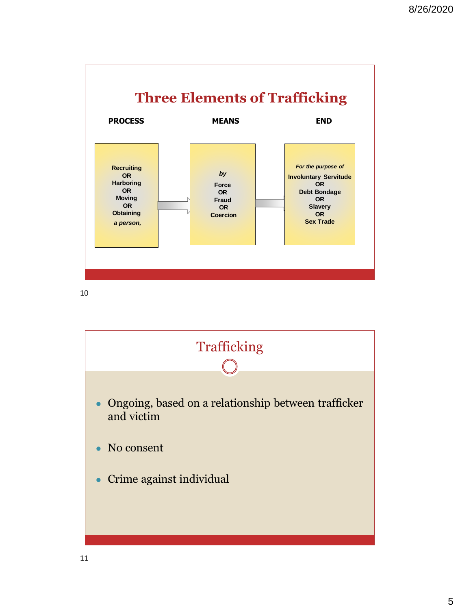

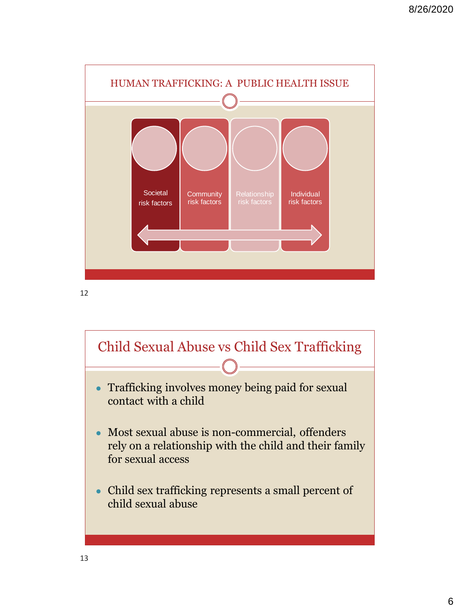

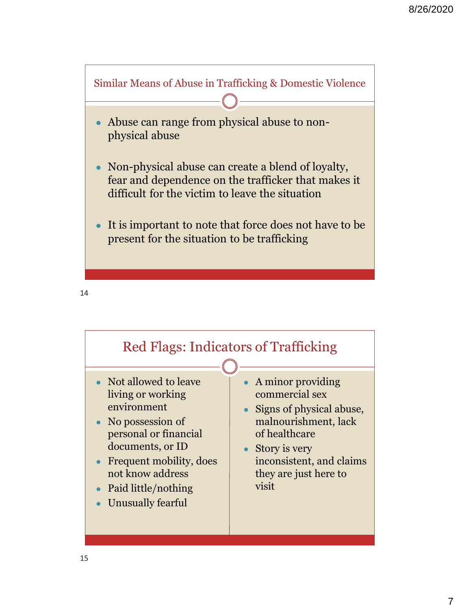

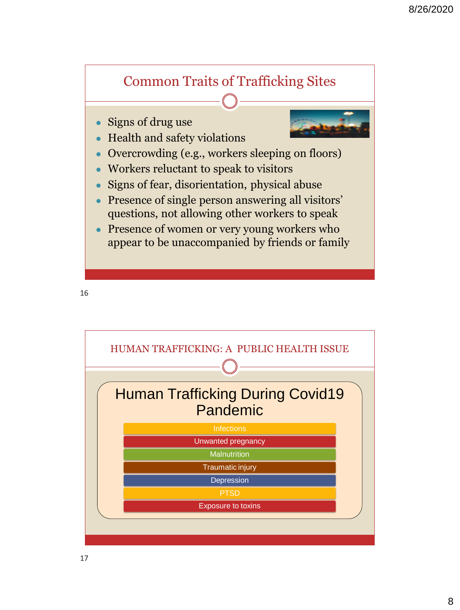## Common Traits of Trafficking Sites

Signs of drug use



- Overcrowding (e.g., workers sleeping on floors)
- Workers reluctant to speak to visitors

Health and safety violations

- Signs of fear, disorientation, physical abuse
- Presence of single person answering all visitors' questions, not allowing other workers to speak
- Presence of women or very young workers who appear to be unaccompanied by friends or family

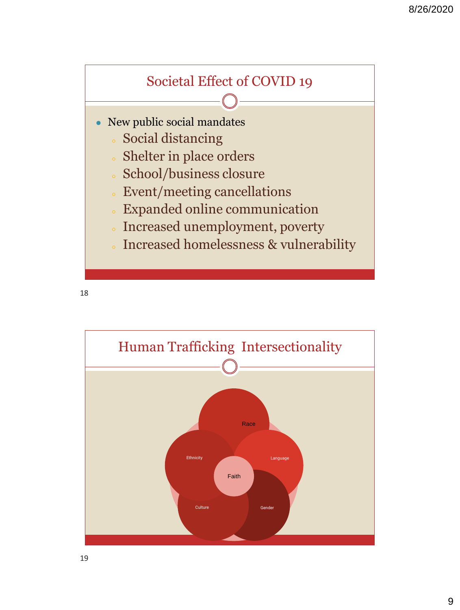## Societal Effect of COVID 19

- New public social mandates
	- Social distancing
	- Shelter in place orders
	- School/business closure
	- Event/meeting cancellations
	- Expanded online communication
	- Increased unemployment, poverty
	- Increased homelessness & vulnerability

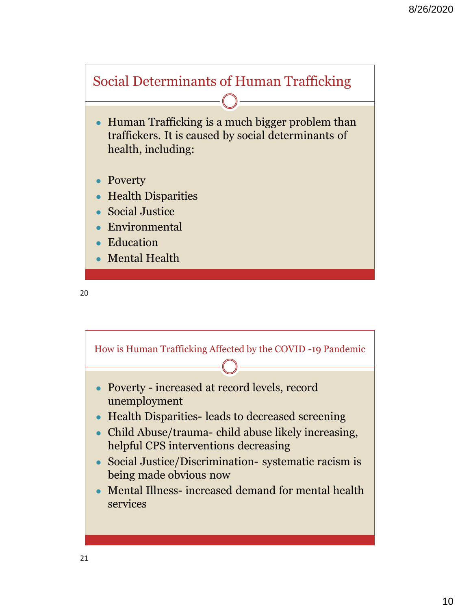

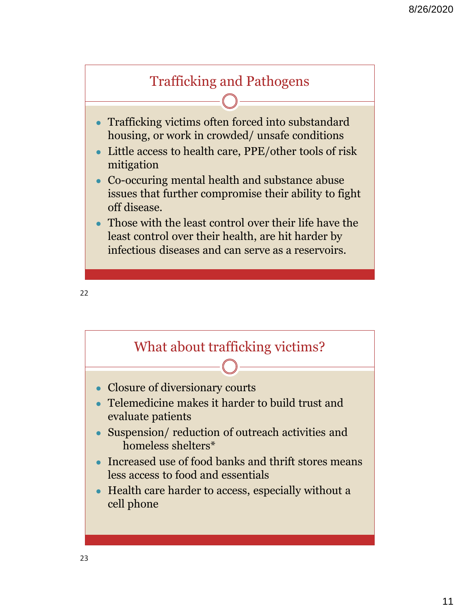

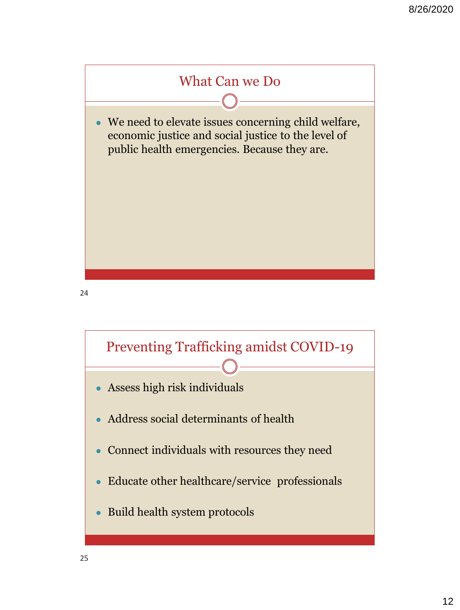

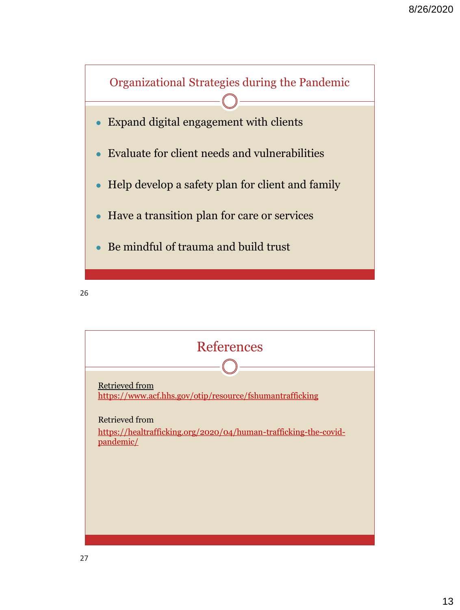